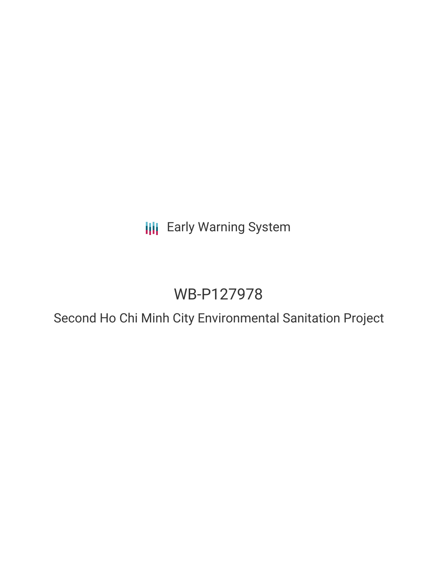**III** Early Warning System

# WB-P127978

Second Ho Chi Minh City Environmental Sanitation Project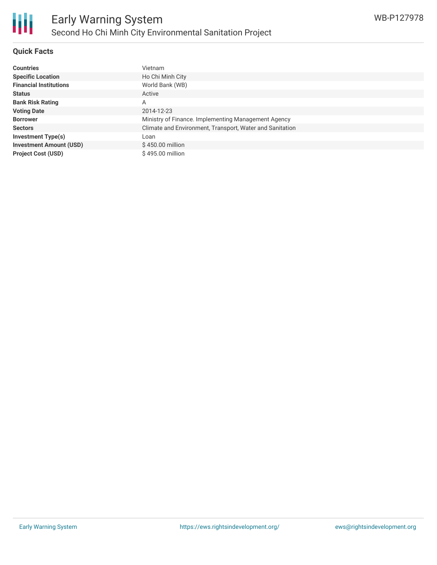## **Quick Facts**

| <b>Countries</b>               | Vietnam                                                  |
|--------------------------------|----------------------------------------------------------|
| <b>Specific Location</b>       | Ho Chi Minh City                                         |
| <b>Financial Institutions</b>  | World Bank (WB)                                          |
| <b>Status</b>                  | Active                                                   |
| <b>Bank Risk Rating</b>        | A                                                        |
| <b>Voting Date</b>             | 2014-12-23                                               |
| <b>Borrower</b>                | Ministry of Finance. Implementing Management Agency      |
| <b>Sectors</b>                 | Climate and Environment, Transport, Water and Sanitation |
| <b>Investment Type(s)</b>      | Loan                                                     |
| <b>Investment Amount (USD)</b> | \$450.00 million                                         |
| <b>Project Cost (USD)</b>      | \$495.00 million                                         |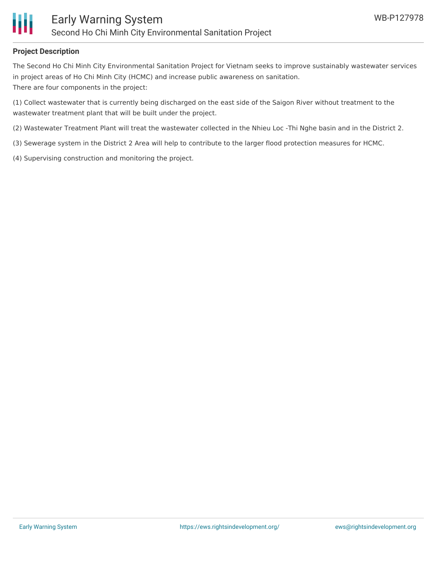

## **Project Description**

The Second Ho Chi Minh City Environmental Sanitation Project for Vietnam seeks to improve sustainably wastewater services in project areas of Ho Chi Minh City (HCMC) and increase public awareness on sanitation. There are four components in the project:

(1) Collect wastewater that is currently being discharged on the east side of the Saigon River without treatment to the wastewater treatment plant that will be built under the project.

(2) Wastewater Treatment Plant will treat the wastewater collected in the Nhieu Loc -Thi Nghe basin and in the District 2.

- (3) Sewerage system in the District 2 Area will help to contribute to the larger flood protection measures for HCMC.
- (4) Supervising construction and monitoring the project.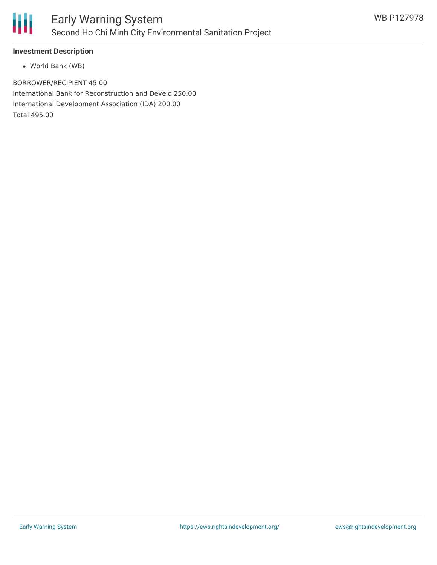

### **Investment Description**

World Bank (WB)

BORROWER/RECIPIENT 45.00 International Bank for Reconstruction and Develo 250.00 International Development Association (IDA) 200.00 Total 495.00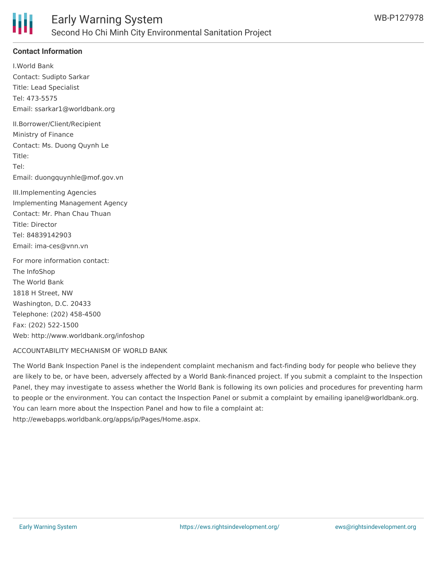

## **Contact Information**

I.World Bank Contact: Sudipto Sarkar Title: Lead Specialist Tel: 473-5575 Email: ssarkar1@worldbank.org II.Borrower/Client/Recipient Ministry of Finance Contact: Ms. Duong Quynh Le Title: Tel: Email: duongquynhle@mof.gov.vn III.Implementing Agencies Implementing Management Agency Contact: Mr. Phan Chau Thuan Title: Director Tel: 84839142903 Email: ima-ces@vnn.vn For more information contact: The InfoShop The World Bank 1818 H Street, NW Washington, D.C. 20433 Telephone: (202) 458-4500 Fax: (202) 522-1500 Web: http://www.worldbank.org/infoshop

#### ACCOUNTABILITY MECHANISM OF WORLD BANK

The World Bank Inspection Panel is the independent complaint mechanism and fact-finding body for people who believe they are likely to be, or have been, adversely affected by a World Bank-financed project. If you submit a complaint to the Inspection Panel, they may investigate to assess whether the World Bank is following its own policies and procedures for preventing harm to people or the environment. You can contact the Inspection Panel or submit a complaint by emailing ipanel@worldbank.org. You can learn more about the Inspection Panel and how to file a complaint at: http://ewebapps.worldbank.org/apps/ip/Pages/Home.aspx.